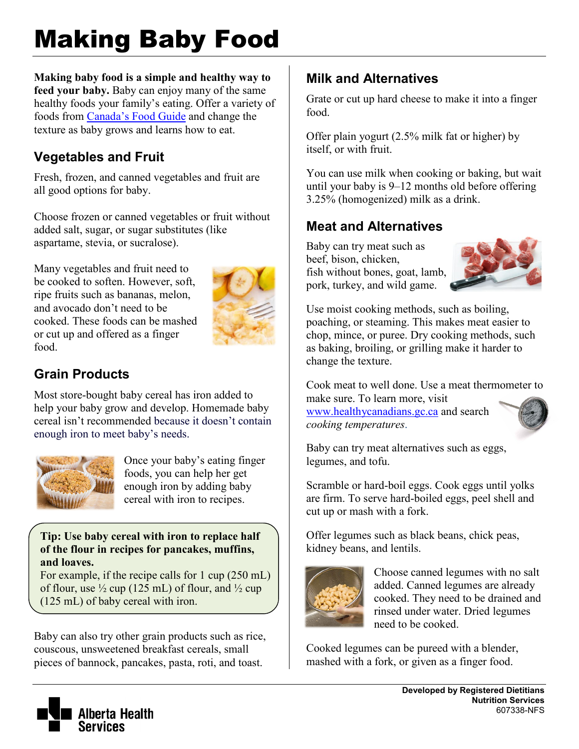# Making Baby Food

**Making baby food is a simple and healthy way to feed your baby.** Baby can enjoy many of the same healthy foods your family's eating. Offer a variety of foods from [Canada's Food Guide](http://www.healthcanada.gc.ca/foodguide) and change the texture as baby grows and learns how to eat.

## **Vegetables and Fruit**

Fresh, frozen, and canned vegetables and fruit are all good options for baby.

Choose frozen or canned vegetables or fruit without added salt, sugar, or sugar substitutes (like aspartame, stevia, or sucralose).

Many vegetables and fruit need to be cooked to soften. However, soft, ripe fruits such as bananas, melon, and avocado don't need to be cooked. These foods can be mashed or cut up and offered as a finger food.



## **Grain Products**

Most store-bought baby cereal has iron added to help your baby grow and develop. Homemade baby cereal isn't recommended because it doesn't contain enough iron to meet baby's needs.



Once your baby's eating finger foods, you can help her get enough iron by adding baby cereal with iron to recipes.

#### **Tip: Use baby cereal with iron to replace half of the flour in recipes for pancakes, muffins, and loaves.**

For example, if the recipe calls for 1 cup (250 mL) of flour, use  $\frac{1}{2}$  cup (125 mL) of flour, and  $\frac{1}{2}$  cup (125 mL) of baby cereal with iron.

Baby can also try other grain products such as rice, couscous, unsweetened breakfast cereals, small pieces of bannock, pancakes, pasta, roti, and toast.

## **Milk and Alternatives**

Grate or cut up hard cheese to make it into a finger food.

Offer plain yogurt (2.5% milk fat or higher) by itself, or with fruit.

You can use milk when cooking or baking, but wait until your baby is 9–12 months old before offering 3.25% (homogenized) milk as a drink.

## **Meat and Alternatives**

Baby can try meat such as beef, bison, chicken, fish without bones, goat, lamb, pork, turkey, and wild game.



Use moist cooking methods, such as boiling, poaching, or steaming. This makes meat easier to chop, mince, or puree. Dry cooking methods, such as baking, broiling, or grilling make it harder to change the texture.

Cook meat to well done. Use a meat thermometer to make sure. To learn more, visit

[www.healthycanadians.gc.ca](http://www.healthycanadians.gc.ca/) and search *cooking temperatures*.



Baby can try meat alternatives such as eggs, legumes, and tofu.

Scramble or hard-boil eggs. Cook eggs until yolks are firm. To serve hard-boiled eggs, peel shell and cut up or mash with a fork.

Offer legumes such as black beans, chick peas, kidney beans, and lentils.



Choose canned legumes with no salt added. Canned legumes are already cooked. They need to be drained and rinsed under water. Dried legumes need to be cooked.

Cooked legumes can be pureed with a blender, mashed with a fork, or given as a finger food.

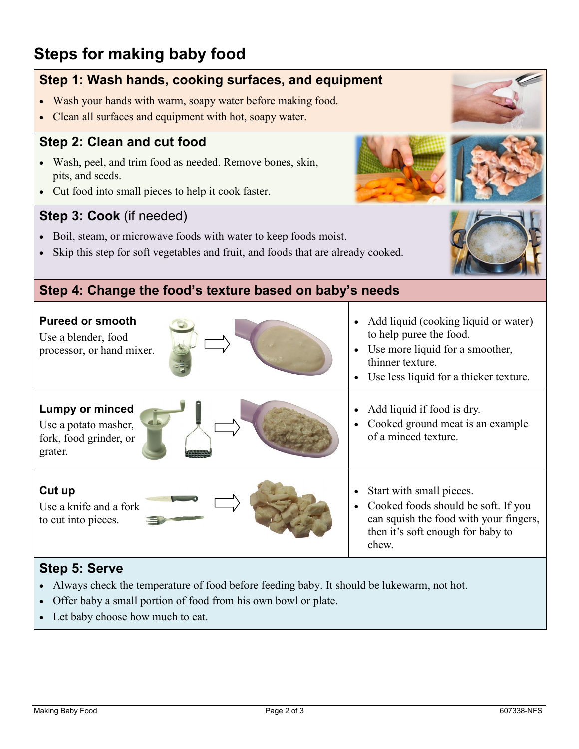## **Steps for making baby food**

### **Step 1: Wash hands, cooking surfaces, and equipment**

- Wash your hands with warm, soapy water before making food.
- Clean all surfaces and equipment with hot, soapy water.

#### **Step 2: Clean and cut food**

- Wash, peel, and trim food as needed. Remove bones, skin, pits, and seeds.
- Cut food into small pieces to help it cook faster.

#### **Step 3: Cook** (if needed)

- Boil, steam, or microwave foods with water to keep foods moist.
- Skip this step for soft vegetables and fruit, and foods that are already cooked.



#### **Step 4: Change the food's texture based on baby's needs**

| <b>Pureed or smooth</b><br>Use a blender, food<br>processor, or hand mixer.         | Add liquid (cooking liquid or water)<br>to help puree the food.<br>Use more liquid for a smoother,<br>$\bullet$<br>thinner texture.<br>Use less liquid for a thicker texture.<br>$\bullet$ |
|-------------------------------------------------------------------------------------|--------------------------------------------------------------------------------------------------------------------------------------------------------------------------------------------|
| <b>Lumpy or minced</b><br>Use a potato masher,<br>fork, food grinder, or<br>grater. | Add liquid if food is dry.<br>$\bullet$<br>Cooked ground meat is an example<br>$\bullet$<br>of a minced texture.                                                                           |
| Cut up<br>Use a knife and a fork<br>to cut into pieces.                             | Start with small pieces.<br>٠<br>Cooked foods should be soft. If you<br>$\bullet$<br>can squish the food with your fingers,<br>then it's soft enough for baby to<br>chew.                  |

#### **Step 5: Serve**

- Always check the temperature of food before feeding baby. It should be lukewarm, not hot.
- Offer baby a small portion of food from his own bowl or plate.
- Let baby choose how much to eat.